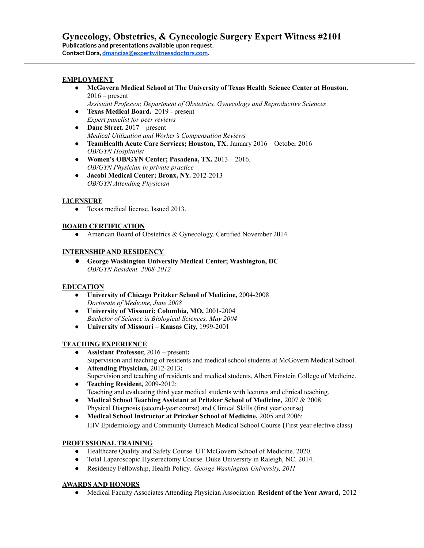### **EMPLOYMENT**

**● McGovern Medical School at The University of Texas Health Science Center at Houston.**  $2016$  – present

*Assistant Professor, Department of Obstetrics, Gynecology and Reproductive Sciences*

- **● Texas Medical Board.** 2019 present *Expert panelist for peer reviews*
- **● Dane Street.** 2017 present *Medical Utilization and Worker's Compensation Reviews*
- **● TeamHealth Acute Care Services; Houston, TX.** January 2016 October 2016 *OB/GYN Hospitalist*
- **Women's OB/GYN Center; Pasadena, TX.** 2013 2016. *OB/GYN Physician in private practice*
- **Jacobi Medical Center; Bronx, NY.** 2012-2013 *OB/GYN Attending Physician*

# **LICENSURE**

• Texas medical license. Issued 2013.

# **BOARD CERTIFICATION**

• American Board of Obstetrics & Gynecology. Certified November 2014.

### **INTERNSHIPAND RESIDENCY**

● **George Washington University Medical Center; Washington, DC** *OB/GYN Resident, 2008-2012*

### **EDUCATION**

- **University of Chicago Pritzker School of Medicine,** 2004-2008 *Doctorate of Medicine, June 2008*
- **University of Missouri; Columbia, MO,** 2001-2004 *Bachelor of Science in Biological Sciences, May 2004*
- **University of Missouri – Kansas City,** 1999-2001

### **TEACHING EXPERIENCE**

- **Assistant Professor,** 2016 present**:** Supervision and teaching of residents and medical school students at McGovern Medical School.
- **Attending Physician,** 2012-2013**:** Supervision and teaching of residents and medical students, Albert Einstein College of Medicine.
- **Teaching Resident,** 2009-2012: Teaching and evaluating third year medical students with lectures and clinical teaching.
- **Medical School Teaching Assistant at Pritzker School of Medicine,** 2007 & 2008: Physical Diagnosis (second-year course) and Clinical Skills (first year course)
- **Medical School Instructor at Pritzker School of Medicine,** 2005 and 2006: HIV Epidemiology and Community Outreach Medical School Course (First year elective class)

# **PROFESSIONAL TRAINING**

- Healthcare Quality and Safety Course. UT McGovern School of Medicine. 2020.
- Total Laparoscopic Hysterectomy Course. Duke University in Raleigh, NC. 2014.
- Residency Fellowship, Health Policy. *George Washington University, 2011*

# **AWARDS AND HONORS**

● Medical Faculty Associates Attending Physician Association **Resident of the Year Award,** 2012